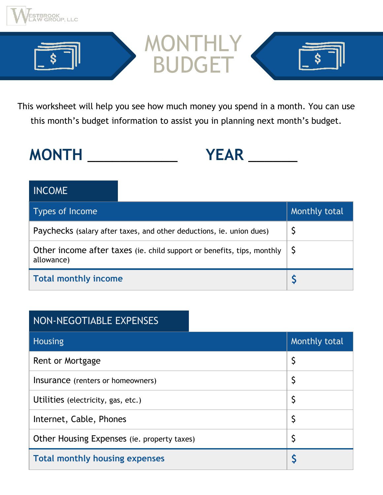



This worksheet will help you see how much money you spend in a month. You can use this month's budget information to assist you in planning next month's budget.

**MONTH** \_\_\_\_\_\_\_\_\_\_\_ **YEAR** \_\_\_\_\_\_

#### INCOME

| <b>Types of Income</b>                                                                                        | Monthly total |
|---------------------------------------------------------------------------------------------------------------|---------------|
| Paychecks (salary after taxes, and other deductions, ie. union dues)                                          |               |
| Other income after taxes (ie. child support or benefits, tips, monthly $\vert \mathsf{S} \vert$<br>allowance) |               |
| <b>Total monthly income</b>                                                                                   |               |

#### NON-NEGOTIABLE EXPENSES

| <b>Housing</b>                              | Monthly total |
|---------------------------------------------|---------------|
| Rent or Mortgage                            |               |
| Insurance (renters or homeowners)           | Ş             |
| Utilities (electricity, gas, etc.)          | Ş             |
| Internet, Cable, Phones                     |               |
| Other Housing Expenses (ie. property taxes) |               |
| <b>Total monthly housing expenses</b>       |               |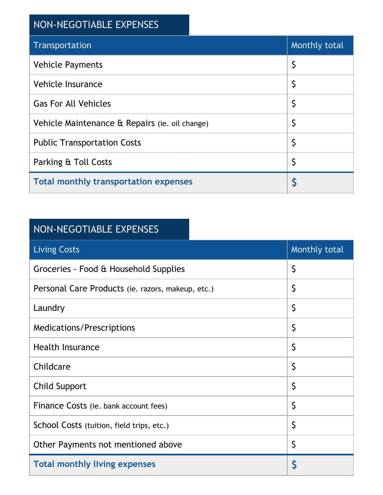### NON-NEGOTIABLE EXPENSES

| Transportation                                 | Monthly total |
|------------------------------------------------|---------------|
| <b>Vehicle Payments</b>                        | \$            |
| Vehicle Insurance                              | \$            |
| <b>Gas For All Vehicles</b>                    | \$            |
| Vehicle Maintenance & Repairs (ie. oil change) | \$            |
| <b>Public Transportation Costs</b>             | \$            |
| Parking & Toll Costs                           | \$            |
| <b>Total monthly transportation expenses</b>   |               |

#### NON-NEGOTIABLE EXPENSES

| <b>Living Costs</b>                               | Monthly total |
|---------------------------------------------------|---------------|
| Groceries - Food & Household Supplies             | \$            |
| Personal Care Products (ie. razors, makeup, etc.) | \$            |
| Laundry                                           | \$            |
| <b>Medications/Prescriptions</b>                  | \$            |
| <b>Health Insurance</b>                           | \$            |
| Childcare                                         | \$            |
| <b>Child Support</b>                              | \$            |
| Finance Costs (ie. bank account fees)             | \$            |
| School Costs (tuition, field trips, etc.)         | \$            |
| Other Payments not mentioned above                | \$            |
| <b>Total monthly living expenses</b>              | Š             |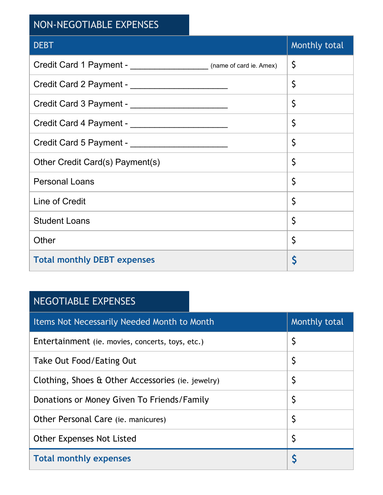### NON-NEGOTIABLE EXPENSES

| <b>DEBT</b>                                                                  | Monthly total |
|------------------------------------------------------------------------------|---------------|
| Credit Card 1 Payment - ____________________________ (name of card ie. Amex) | \$            |
|                                                                              | \$            |
| Credit Card 3 Payment - __________________________                           | \$            |
| Credit Card 4 Payment - __________________________                           | \$            |
| Credit Card 5 Payment - __________________________                           | \$            |
| Other Credit Card(s) Payment(s)                                              | \$            |
| <b>Personal Loans</b>                                                        | \$            |
| Line of Credit                                                               | \$            |
| <b>Student Loans</b>                                                         | \$            |
| Other                                                                        | \$            |
| <b>Total monthly DEBT expenses</b>                                           | Ş             |

#### NEGOTIABLE EXPENSES

| <b>Items Not Necessarily Needed Month to Month</b> | Monthly total |
|----------------------------------------------------|---------------|
| Entertainment (ie. movies, concerts, toys, etc.)   | Ş             |
| Take Out Food/Eating Out                           | \$            |
| Clothing, Shoes & Other Accessories (ie. jewelry)  | Ş             |
| Donations or Money Given To Friends/Family         | \$            |
| Other Personal Care (ie. manicures)                | \$            |
| <b>Other Expenses Not Listed</b>                   | Ş             |
| <b>Total monthly expenses</b>                      |               |